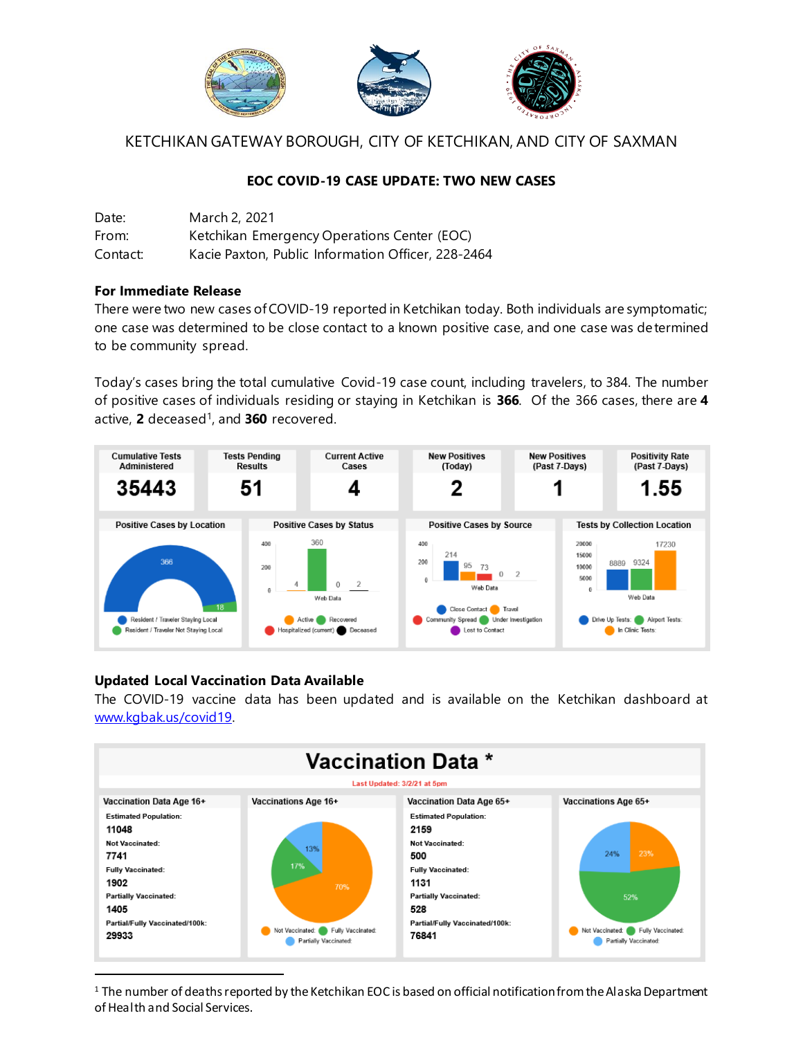

KETCHIKAN GATEWAY BOROUGH, CITY OF KETCHIKAN, AND CITY OF SAXMAN

## **EOC COVID-19 CASE UPDATE: TWO NEW CASES**

| Date:    | March 2, 2021                                      |
|----------|----------------------------------------------------|
| From:    | Ketchikan Emergency Operations Center (EOC)        |
| Contact: | Kacie Paxton, Public Information Officer, 228-2464 |

## **For Immediate Release**

There were two new cases of COVID-19 reported in Ketchikan today. Both individuals are symptomatic; one case was determined to be close contact to a known positive case, and one case was determined to be community spread.

Today's cases bring the total cumulative Covid-19 case count, including travelers, to 384. The number of positive cases of individuals residing or staying in Ketchikan is **366**. Of the 366 cases, there are **4** active, **2** deceased 1 , and **360** recovered.



## **Updated Local Vaccination Data Available**

The COVID-19 vaccine data has been updated and is available on the Ketchikan dashboard at [www.kgbak.us/covid19.](http://www.kgbak.us/covid19) 



 $1$  The number of deaths reported by the Ketchikan EOC is based on official notification from the Alaska Department of Health and Social Services.